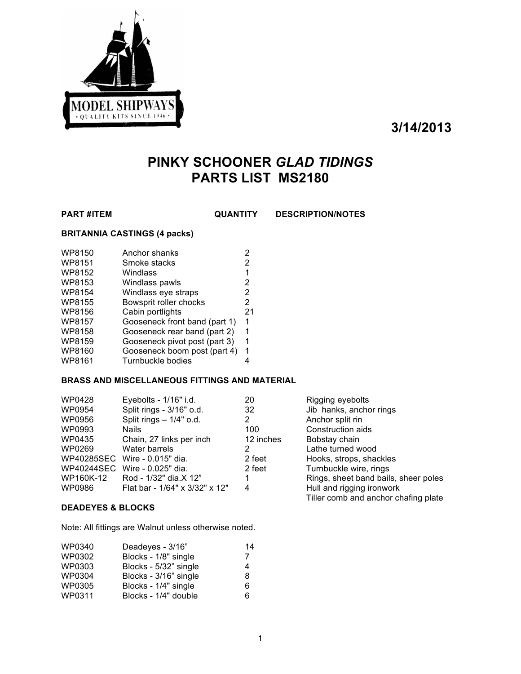

**3/14/2013**

# **PINKY SCHOONER** *GLAD TIDINGS* **PARTS LIST MS2180**

**PART #ITEM QUANTITY DESCRIPTION/NOTES**

#### **BRITANNIA CASTINGS (4 packs)**

| WP8150        | Anchor shanks                 | 2  |
|---------------|-------------------------------|----|
| WP8151        | Smoke stacks                  | 2  |
| WP8152        | Windlass                      | 1  |
| WP8153        | Windlass pawls                | 2  |
| WP8154        | Windlass eye straps           | 2  |
| WP8155        | Bowsprit roller chocks        | 2  |
| WP8156        | Cabin portlights              | 21 |
| <b>WP8157</b> | Gooseneck front band (part 1) | 1  |
| <b>WP8158</b> | Gooseneck rear band (part 2)  | 1  |
| WP8159        | Gooseneck pivot post (part 3) | 1  |
| WP8160        | Gooseneck boom post (part 4)  | 1  |
| WP8161        | Turnbuckle bodies             |    |

#### **BRASS AND MISCELLANEOUS FITTINGS AND MATERIAL**

| WP0428     | Eyebolts - 1/16" i.d.          | 20        | Rigging eyebolts                     |
|------------|--------------------------------|-----------|--------------------------------------|
| WP0954     | Split rings - 3/16" o.d.       | 32        | Jib hanks, anchor rings              |
| WP0956     | Split rings - 1/4" o.d.        | 2         | Anchor split rin                     |
| WP0993     | <b>Nails</b>                   | 100       | Construction aids                    |
| WP0435     | Chain, 27 links per inch       | 12 inches | Bobstay chain                        |
| WP0269     | Water barrels                  | 2         | Lathe turned wood                    |
|            | WP40285SEC Wire - 0.015" dia.  | 2 feet    | Hooks, strops, shackles              |
| WP40244SEC | Wire - 0.025" dia.             | 2 feet    | Turnbuckle wire, rings               |
| WP160K-12  | Rod - 1/32" dia.X 12"          |           | Rings, sheet band bails, sheer poles |
| WP0986     | Flat bar - 1/64" x 3/32" x 12" | 4         | Hull and rigging ironwork            |
|            |                                |           | Tiller comb and anchor chafing plate |

#### **DEADEYES & BLOCKS**

Note: All fittings are Walnut unless otherwise noted.

| WP0340 | Deadeyes - 3/16"      | 14 |
|--------|-----------------------|----|
| WP0302 | Blocks - 1/8" single  | 7  |
| WP0303 | Blocks - 5/32" single | 4  |
| WP0304 | Blocks - 3/16" single | 8  |
| WP0305 | Blocks - 1/4" single  | 6  |
| WP0311 | Blocks - 1/4" double  | 6  |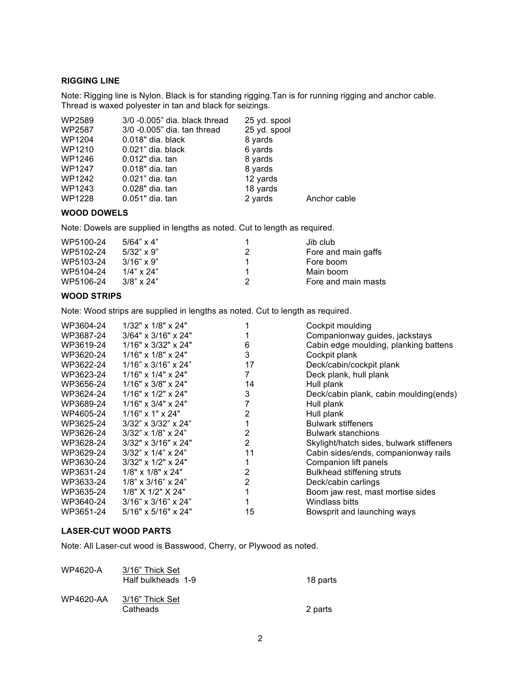#### **RIGGING LINE**

Note: Rigging line is Nylon. Black is for standing rigging.Tan is for running rigging and anchor cable. Thread is waxed polyester in tan and black for seizings.

| WP2589 | 3/0 -0.005" dia. black thread | 25 yd. spool |              |
|--------|-------------------------------|--------------|--------------|
| WP2587 | 3/0 -0.005" dia. tan thread   | 25 yd. spool |              |
| WP1204 | $0.018"$ dia. black           | 8 yards      |              |
| WP1210 | $0.021$ " dia. black          | 6 yards      |              |
| WP1246 | 0.012" dia. tan               | 8 yards      |              |
| WP1247 | 0.018" dia. tan               | 8 yards      |              |
| WP1242 | 0.021" dia. tan               | 12 yards     |              |
| WP1243 | 0.028" dia. tan               | 18 yards     |              |
| WP1228 | 0.051" dia. tan               | 2 yards      | Anchor cable |

#### **WOOD DOWELS**

Note: Dowels are supplied in lengths as noted. Cut to length as required.

| WP5100-24 | $5/64$ " x 4"     |   | Jib club            |
|-----------|-------------------|---|---------------------|
| WP5102-24 | $5/32$ " x 9"     | 2 | Fore and main gaffs |
| WP5103-24 | $3/16" \times 9"$ |   | Fore boom           |
| WP5104-24 | $1/4$ " x $24$ "  |   | Main boom           |
| WP5106-24 | $3/8$ " x 24"     |   | Fore and main masts |

### **WOOD STRIPS**

Note: Wood strips are supplied in lengths as noted. Cut to length as required.

| WP3604-24 | $1/32$ " x $1/8$ " x $24$ "     |                | Cockpit moulding                         |
|-----------|---------------------------------|----------------|------------------------------------------|
| WP3687-24 | $3/64" \times 3/16" \times 24"$ |                | Companionway guides, jackstays           |
| WP3619-24 | $1/16"$ x $3/32"$ x $24"$       | 6              | Cabin edge moulding, planking battens    |
| WP3620-24 | $1/16"$ x $1/8"$ x $24"$        | 3              | Cockpit plank                            |
| WP3622-24 | $1/16$ " x $3/16$ " x $24$ "    | 17             | Deck/cabin/cockpit plank                 |
| WP3623-24 | $1/16"$ x $1/4"$ x $24"$        | 7              | Deck plank, hull plank                   |
| WP3656-24 | $1/16" \times 3/8" \times 24"$  | 14             | Hull plank                               |
| WP3624-24 | $1/16"$ x $1/2"$ x $24"$        | 3              | Deck/cabin plank, cabin moulding(ends)   |
| WP3689-24 | $1/16" \times 3/4" \times 24"$  |                | Hull plank                               |
| WP4605-24 | $1/16"$ x 1" x 24"              | $\overline{2}$ | Hull plank                               |
| WP3625-24 | $3/32$ " x $3/32$ " x $24$ "    |                | <b>Bulwark stiffeners</b>                |
| WP3626-24 | $3/32$ " x $1/8$ " x $24$ "     | 2              | <b>Bulwark stanchions</b>                |
| WP3628-24 | $3/32$ " x $3/16$ " x $24$ "    | $\overline{2}$ | Skylight/hatch sides, bulwark stiffeners |
| WP3629-24 | $3/32$ " x $1/4$ " x $24$ "     | 11             | Cabin sides/ends, companionway rails     |
| WP3630-24 | 3/32" x 1/2" x 24"              |                | Companion lift panels                    |
| WP3631-24 | 1/8" x 1/8" x 24"               | 2              | <b>Bulkhead stiffening struts</b>        |
| WP3633-24 | $1/8$ " x $3/16$ " x $24$ "     | 2              | Deck/cabin carlings                      |
| WP3635-24 | 1/8" X 1/2" X 24"               |                | Boom jaw rest, mast mortise sides        |
| WP3640-24 | $3/16$ " x $3/16$ " x $24$ "    |                | Windlass bitts                           |
| WP3651-24 | $5/16"$ x $5/16"$ x $24"$       | 15             | Bowsprit and launching ways              |

#### **LASER-CUT WOOD PARTS**

Note: All Laser-cut wood is Basswood, Cherry, or Plywood as noted.

| WP4620-A         | 3/16" Thick Set<br>Half bulkheads 1-9 | 18 parts |
|------------------|---------------------------------------|----------|
| <b>WP4620-AA</b> | 3/16" Thick Set<br>Catheads           | 2 parts  |